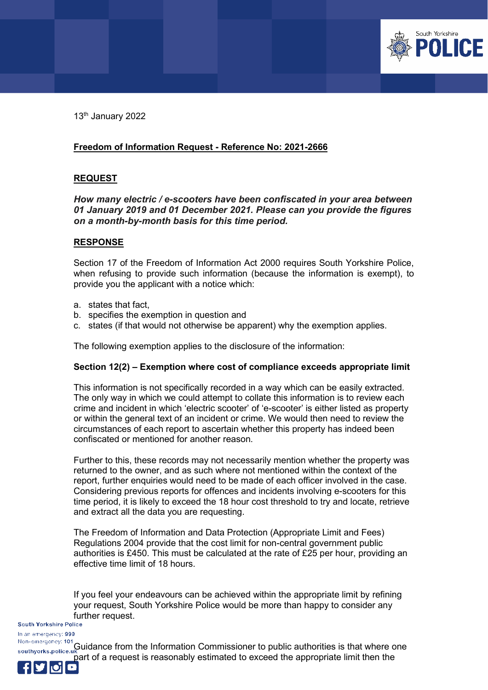

13<sup>th</sup> January 2022

# **Freedom of Information Request - Reference No: 2021-2666**

# **REQUEST**

## *How many electric / e-scooters have been confiscated in your area between 01 January 2019 and 01 December 2021. Please can you provide the figures on a month-by-month basis for this time period.*

## **RESPONSE**

Section 17 of the Freedom of Information Act 2000 requires South Yorkshire Police, when refusing to provide such information (because the information is exempt), to provide you the applicant with a notice which:

- a. states that fact,
- b. specifies the exemption in question and
- c. states (if that would not otherwise be apparent) why the exemption applies.

The following exemption applies to the disclosure of the information:

## **Section 12(2) – Exemption where cost of compliance exceeds appropriate limit**

This information is not specifically recorded in a way which can be easily extracted. The only way in which we could attempt to collate this information is to review each crime and incident in which 'electric scooter' of 'e-scooter' is either listed as property or within the general text of an incident or crime. We would then need to review the circumstances of each report to ascertain whether this property has indeed been confiscated or mentioned for another reason.

Further to this, these records may not necessarily mention whether the property was returned to the owner, and as such where not mentioned within the context of the report, further enquiries would need to be made of each officer involved in the case. Considering previous reports for offences and incidents involving e-scooters for this time period, it is likely to exceed the 18 hour cost threshold to try and locate, retrieve and extract all the data you are requesting.

The Freedom of Information and Data Protection (Appropriate Limit and Fees) Regulations 2004 provide that the cost limit for non-central government public authorities is £450. This must be calculated at the rate of £25 per hour, providing an effective time limit of 18 hours.

If you feel your endeavours can be achieved within the appropriate limit by refining your request, South Yorkshire Police would be more than happy to consider any **further request.**<br>South Yorkshire Police

In an emergency: 999

Non-emergency: 101 Guidance from the Information Commissioner to public authorities is that where one southyorks.police.uk part of a request is reasonably estimated to exceed the appropriate limit then the